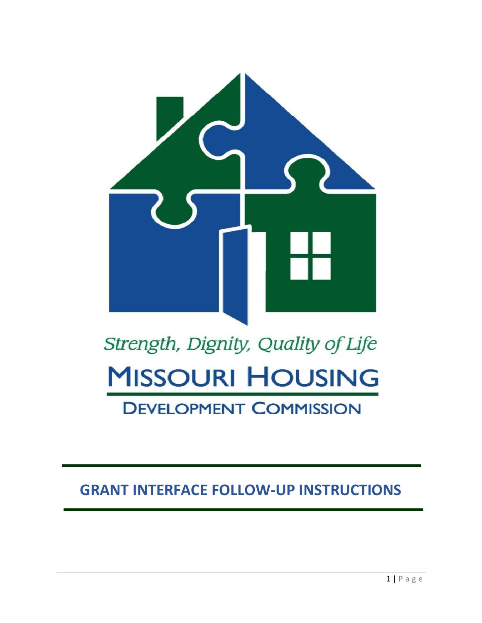

# Strength, Dignity, Quality of Life **MISSOURI HOUSING DEVELOPMENT COMMISSION**

### **GRANT INTERFACE FOLLOW-UP INSTRUCTIONS**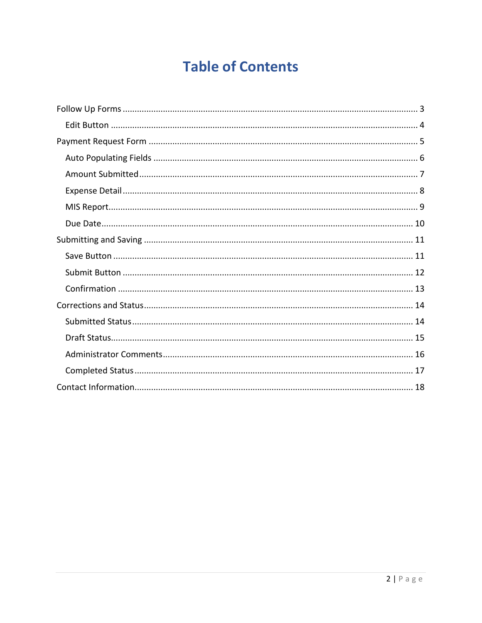## **Table of Contents**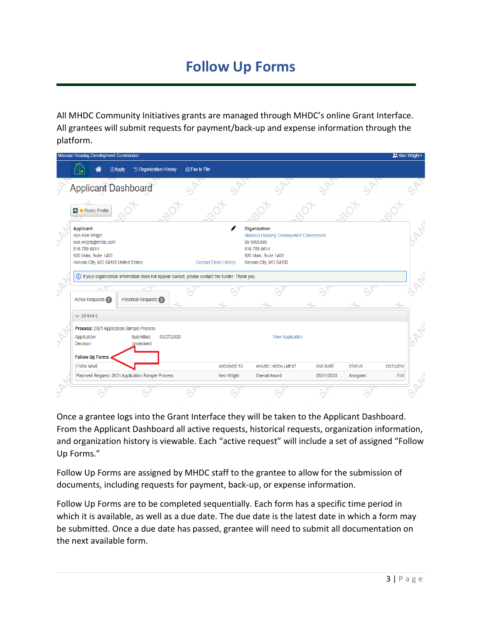### **Follow Up Forms**

All MHDC Community Initiatives grants are managed through MHDC's online Grant Interface. All grantees will submit requests for payment/back-up and expense information through the platform.

|                                                                                                     | <b>Missouri Housing Development Commission</b>                                                                                            |              |                                                                    |            |                              |                    |                                                                                                                           |                 |               | $22$ Ken Wright $\sim$ |  |
|-----------------------------------------------------------------------------------------------------|-------------------------------------------------------------------------------------------------------------------------------------------|--------------|--------------------------------------------------------------------|------------|------------------------------|--------------------|---------------------------------------------------------------------------------------------------------------------------|-----------------|---------------|------------------------|--|
|                                                                                                     |                                                                                                                                           | <b>Apply</b> | <sup>9</sup> Organization History                                  |            | la Fax to File               |                    |                                                                                                                           |                 |               |                        |  |
|                                                                                                     | <b>Applicant Dashboard</b>                                                                                                                |              |                                                                    |            |                              |                    |                                                                                                                           |                 |               |                        |  |
|                                                                                                     | <b>X</b> Public Profile                                                                                                                   |              |                                                                    |            |                              |                    |                                                                                                                           |                 |               |                        |  |
|                                                                                                     | <b>Applicant:</b><br>Ken Ken Wright<br>ken.wright@mhdc.com<br>816-759-6614<br>920 Main, Suite 1400<br>Kansas City, MO 64105 United States |              |                                                                    |            | <b>Contact Email History</b> | 99-9999999         | Organization:<br>Missouri Housing Development Commission<br>816-759-6614<br>920 Main, Suite 1400<br>Kansas City, MO 64105 |                 |               |                        |  |
| (i) If your organization information does not appear correct, please contact the funder. Thank you. |                                                                                                                                           |              |                                                                    |            |                              |                    |                                                                                                                           |                 |               |                        |  |
|                                                                                                     | <b>Active Requests</b> 1                                                                                                                  |              | <b>Historical Requests (0)</b>                                     |            |                              |                    |                                                                                                                           |                 |               |                        |  |
|                                                                                                     | $\times$ 20-644-c                                                                                                                         |              |                                                                    |            |                              |                    |                                                                                                                           |                 |               |                        |  |
|                                                                                                     | Application<br><b>Decision</b><br><b>Follow Up Forms</b>                                                                                  |              | Process: 2021 Application Sample Process<br>Submitted<br>Undecided | 03/27/2020 |                              |                    | <b>View Application</b>                                                                                                   |                 |               |                        |  |
|                                                                                                     | <b>FORM NAME</b>                                                                                                                          |              |                                                                    |            |                              | <b>ASSIGNED TO</b> | AWARD / INSTALLMENT                                                                                                       | <b>DUE DATE</b> | <b>STATUS</b> | <b>EDIT/VIEW</b>       |  |
|                                                                                                     |                                                                                                                                           |              | Payment Request- 2021 Application Sample Process                   |            |                              | Ken Wright         | <b>Overall Award</b>                                                                                                      | 05/01/2020      | Assigned      | Edit                   |  |
|                                                                                                     |                                                                                                                                           |              |                                                                    |            |                              |                    |                                                                                                                           |                 |               |                        |  |

Once a grantee logs into the Grant Interface they will be taken to the Applicant Dashboard. From the Applicant Dashboard all active requests, historical requests, organization information, and organization history is viewable. Each "active request" will include a set of assigned "Follow Up Forms."

Follow Up Forms are assigned by MHDC staff to the grantee to allow for the submission of documents, including requests for payment, back-up, or expense information.

Follow Up Forms are to be completed sequentially. Each form has a specific time period in which it is available, as well as a due date. The due date is the latest date in which a form may be submitted. Once a due date has passed, grantee will need to submit all documentation on the next available form.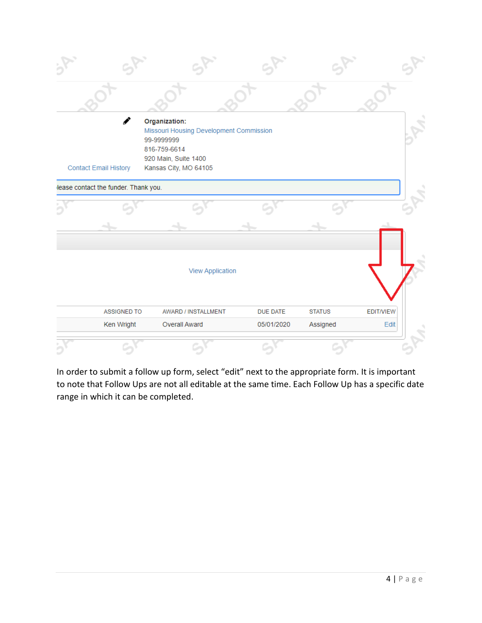| Í<br><b>Contact Email History</b>    | Organization:<br>Missouri Housing Development Commission<br>99-9999999<br>816-759-6614<br>920 Main, Suite 1400<br>Kansas City, MO 64105 |                 |               |           |
|--------------------------------------|-----------------------------------------------------------------------------------------------------------------------------------------|-----------------|---------------|-----------|
| lease contact the funder. Thank you. |                                                                                                                                         |                 |               |           |
|                                      |                                                                                                                                         |                 |               |           |
|                                      |                                                                                                                                         |                 |               |           |
|                                      | <b>View Application</b>                                                                                                                 |                 |               |           |
| ASSIGNED TO                          | AWARD / INSTALLMENT                                                                                                                     | <b>DUE DATE</b> | <b>STATUS</b> | EDIT/VIEW |
| Ken Wright                           | Overall Award                                                                                                                           | 05/01/2020      | Assigned      | Edit      |
|                                      |                                                                                                                                         |                 |               |           |

In order to submit a follow up form, select "edit" next to the appropriate form. It is important to note that Follow Ups are not all editable at the same time. Each Follow Up has a specific date range in which it can be completed.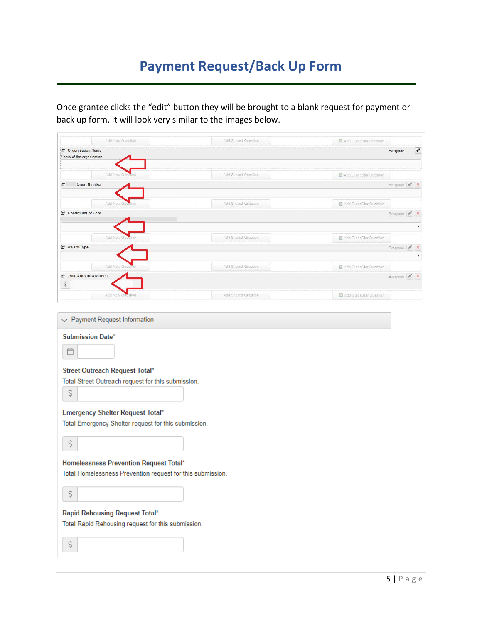### **Payment Request/Back Up Form**

Once grantee clicks the "edit" button they will be brought to a blank request for payment or back up form. It will look very similar to the images below.

| Add New Question                                                                                                                      | Add Shared Question | Add GuideStar Question               |              |                    |
|---------------------------------------------------------------------------------------------------------------------------------------|---------------------|--------------------------------------|--------------|--------------------|
| C Organization Name<br>Name of the organization.                                                                                      |                     |                                      | Everyone     | $\mathcal{L}$      |
|                                                                                                                                       |                     |                                      |              |                    |
| Add New OL                                                                                                                            | Add Shared Question | Add GuideStar Question               |              |                    |
| E,<br><b>Grant Number</b>                                                                                                             |                     |                                      | Everyone / X |                    |
|                                                                                                                                       |                     |                                      |              |                    |
| Add New Q                                                                                                                             | Add Shared Question | <sup>23</sup> Add GuideStar Question |              |                    |
| Continuum of Care                                                                                                                     |                     |                                      | Everyone / X |                    |
|                                                                                                                                       |                     |                                      |              | ▼                  |
| Add New Qr                                                                                                                            | Add Shared Question | Add GuideStar Question               |              |                    |
| <b>C</b> Award Type                                                                                                                   |                     |                                      | Everyone /   | $\mathbf{x}$       |
|                                                                                                                                       |                     |                                      |              | $\pmb{\mathrm{v}}$ |
| Add New Ques                                                                                                                          | Add Shared Question | Add GuideStar Question               |              |                    |
| Total Amount Awarded                                                                                                                  |                     |                                      | Everyone / X |                    |
| \$                                                                                                                                    |                     |                                      |              |                    |
| Add New Question                                                                                                                      | Add Shared Question | Add GuideStar Question               |              |                    |
| Street Outreach Request Total*<br>Total Street Outreach request for this submission.<br>\$<br><b>Emergency Shelter Request Total*</b> |                     |                                      |              |                    |
| Total Emergency Shelter request for this submission.                                                                                  |                     |                                      |              |                    |
| \$                                                                                                                                    |                     |                                      |              |                    |
| Homelessness Prevention Request Total*<br>Total Homelessness Prevention request for this submission.<br>\$                            |                     |                                      |              |                    |
|                                                                                                                                       |                     |                                      |              |                    |
|                                                                                                                                       |                     |                                      |              |                    |
| Rapid Rehousing Request Total*<br>Total Rapid Rehousing request for this submission.                                                  |                     |                                      |              |                    |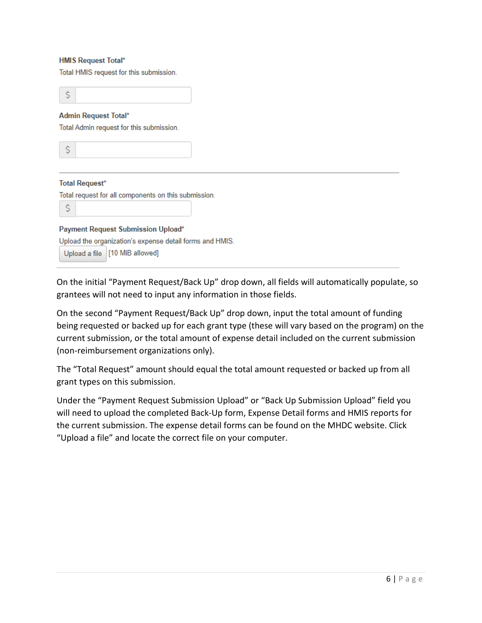#### **HMIS Request Total\***

Total HMIS request for this submission.

Ś **Admin Request Total\*** Total Admin request for this submission. \$ **Total Request\*** Total request for all components on this submission. \$ Payment Request Submission Upload\* Upload the organization's expense detail forms and HMIS. Upload a file [10 MiB allowed]

On the initial "Payment Request/Back Up" drop down, all fields will automatically populate, so grantees will not need to input any information in those fields.

On the second "Payment Request/Back Up" drop down, input the total amount of funding being requested or backed up for each grant type (these will vary based on the program) on the current submission, or the total amount of expense detail included on the current submission (non-reimbursement organizations only).

The "Total Request" amount should equal the total amount requested or backed up from all grant types on this submission.

Under the "Payment Request Submission Upload" or "Back Up Submission Upload" field you will need to upload the completed Back-Up form, Expense Detail forms and HMIS reports for the current submission. The expense detail forms can be found on the MHDC website. Click "Upload a file" and locate the correct file on your computer.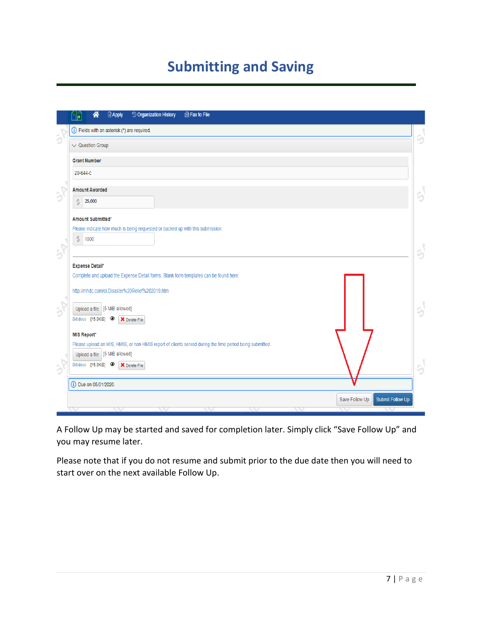# **Submitting and Saving**

|               | 谷<br><b>Apply</b><br><sup>'</sup> Organization History<br>lin Fax to File<br>'n.                         |    |
|---------------|----------------------------------------------------------------------------------------------------------|----|
|               | (i) Fields with an asterisk (*) are required.                                                            | G  |
|               | $\vee$ Question Group                                                                                    |    |
|               | <b>Grant Number</b>                                                                                      |    |
|               | 20-644-с                                                                                                 |    |
| h             | <b>Amount Awarded</b>                                                                                    | 6  |
|               | \$<br>25,000                                                                                             |    |
|               | Amount Submitted*                                                                                        |    |
|               | Please indicate how much is being requested or backed up with this submission.<br>\$<br>1000             |    |
| $\mathcal{D}$ |                                                                                                          | 9  |
|               | <b>Expense Detail*</b>                                                                                   |    |
|               | Complete and upload the Expense Detail forms. Blank form templates can be found here:                    |    |
|               | http://mhdc.com/ci.Disaster%20Relief%202019.htm                                                          |    |
| ð             | Upload a file [5 MiB allowed]                                                                            | 9  |
|               | Bill.docx [15.9KiB] <sup>1</sup> × Delete File                                                           |    |
|               | <b>MIS Report*</b>                                                                                       |    |
|               | Please upload an MIS, HMIS, or non-HMIS report of clients served during the time period being submitted. |    |
|               | Upload a file [5 MiB allowed]                                                                            |    |
| $\frac{1}{2}$ | Bill.docx [15.9KiB] <sup>1</sup> X Delete File                                                           | G) |
|               | <b>(i)</b> Due on 05/01/2020.                                                                            |    |
|               | <b>Submit Follow Up</b><br>Save Follow Up                                                                |    |
|               |                                                                                                          |    |

A Follow Up may be started and saved for completion later. Simply click "Save Follow Up" and you may resume later.

Please note that if you do not resume and submit prior to the due date then you will need to start over on the next available Follow Up.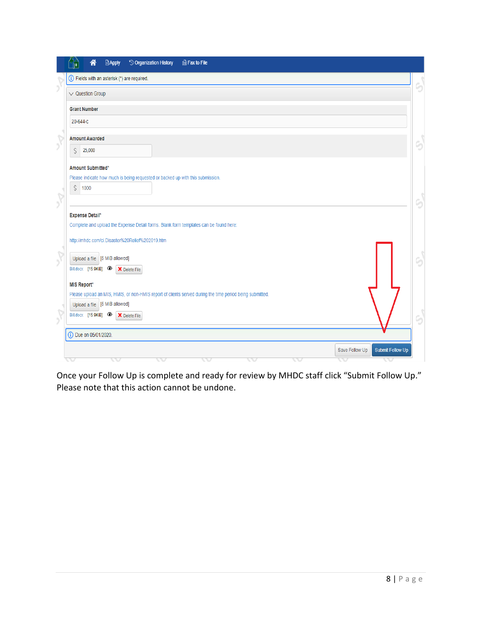| 省<br><b>Apply</b><br><sup>'</sup> Organization History<br>la Fax to File<br>r                            |                                           |
|----------------------------------------------------------------------------------------------------------|-------------------------------------------|
| Divides with an asterisk (*) are required.                                                               | G                                         |
| $\vee$ Question Group                                                                                    |                                           |
| <b>Grant Number</b>                                                                                      |                                           |
| 20-644-с                                                                                                 |                                           |
| <b>Amount Awarded</b>                                                                                    | 5                                         |
| \$<br>25,000                                                                                             |                                           |
| Amount Submitted*                                                                                        |                                           |
| Please indicate how much is being requested or backed up with this submission.                           |                                           |
| \$<br>1000                                                                                               | G                                         |
| <b>Expense Detail*</b>                                                                                   |                                           |
| Complete and upload the Expense Detail forms. Blank form templates can be found here:                    |                                           |
| http://mhdc.com/ci.Disaster%20Relief%202019.htm                                                          |                                           |
| Upload a file [5 MiB allowed]                                                                            | c,                                        |
| Bill.docx [15.9KiB] <sup>1</sup> X Delete File                                                           |                                           |
| <b>MIS Report*</b>                                                                                       |                                           |
| Please upload an MIS, HMIS, or non-HMIS report of clients served during the time period being submitted. |                                           |
| Upload a file [5 MiB allowed]                                                                            |                                           |
| Bill.docx [15.9KiB] <sup>1</sup> Electe File                                                             |                                           |
| <b>(i)</b> Due on 05/01/2020.                                                                            |                                           |
|                                                                                                          | Save Follow Up<br><b>Submit Follow Up</b> |
|                                                                                                          |                                           |

Once your Follow Up is complete and ready for review by MHDC staff click "Submit Follow Up." Please note that this action cannot be undone.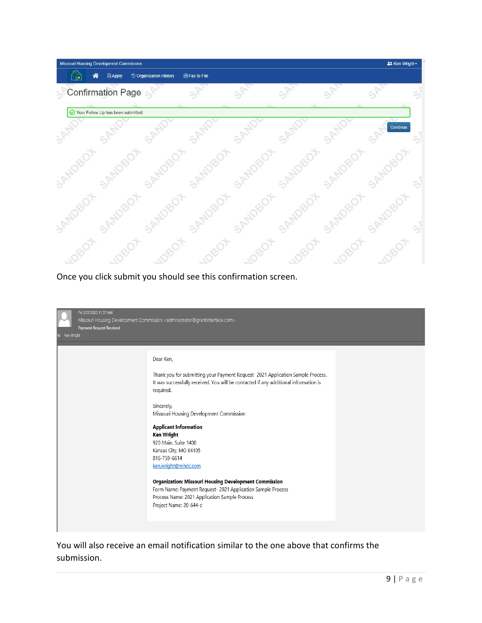

Once you click submit you should see this confirmation screen.

| Fri 3/27/2020 11:57 AM<br><b>Payment Request Received</b><br>To Ken Wright | Missouri Housing Development Commission <administrator@grantinterface.com></administrator@grantinterface.com>                                                                                                                                                                                                                                                                                                                                                                                                                                                                                       |  |
|----------------------------------------------------------------------------|-----------------------------------------------------------------------------------------------------------------------------------------------------------------------------------------------------------------------------------------------------------------------------------------------------------------------------------------------------------------------------------------------------------------------------------------------------------------------------------------------------------------------------------------------------------------------------------------------------|--|
|                                                                            | Dear Ken,<br>Thank you for submitting your Payment Request- 2021 Application Sample Process.<br>It was successfully received. You will be contacted if any additional information is<br>required.<br>Sincerely,<br>Missouri Housing Development Commission<br><b>Applicant Information</b><br>Ken Wright<br>920 Main, Suite 1400<br>Kansas City, MO 64105<br>816-759-6614<br>ken.wright@mhdc.com<br>Organization: Missouri Housing Development Commission<br>Form Name: Payment Request- 2021 Application Sample Process<br>Process Name: 2021 Application Sample Process<br>Project Name: 20-644-c |  |

You will also receive an email notification similar to the one above that confirms the submission.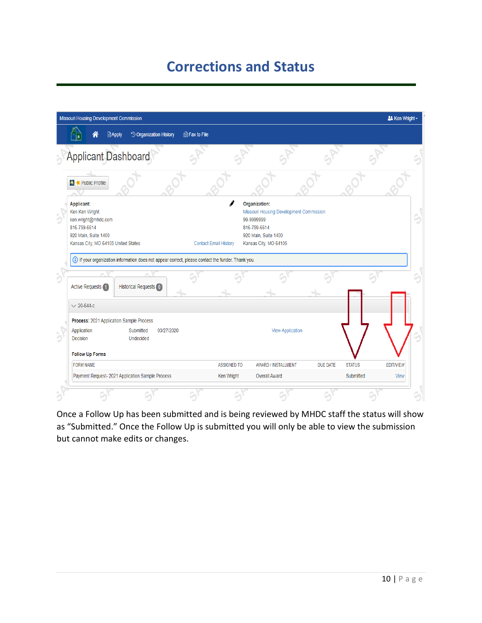## **Corrections and Status**

|   | Missouri Housing Development Commission                                                                                                                            |                    |                                                                                                                                         |                 |               | <b>22 Ken Wright -</b> |
|---|--------------------------------------------------------------------------------------------------------------------------------------------------------------------|--------------------|-----------------------------------------------------------------------------------------------------------------------------------------|-----------------|---------------|------------------------|
|   | <sup>'</sup> Organization History<br>la Fax to File<br><b>■Apply</b>                                                                                               |                    |                                                                                                                                         |                 |               |                        |
|   | <b>Applicant Dashboard</b>                                                                                                                                         |                    |                                                                                                                                         |                 |               |                        |
|   | Public Profile                                                                                                                                                     |                    |                                                                                                                                         |                 |               |                        |
| b | Applicant:<br>Ken Ken Wright<br>ken.wright@mhdc.com<br>816-759-6614<br>920 Main, Suite 1400<br>Kansas City, MO 64105 United States<br><b>Contact Email History</b> |                    | Organization:<br>Missouri Housing Development Commission<br>99-9999999<br>816-759-6614<br>920 Main, Suite 1400<br>Kansas City, MO 64105 |                 |               |                        |
|   | (i) If your organization information does not appear correct, please contact the funder. Thank you.                                                                |                    |                                                                                                                                         |                 |               |                        |
|   | <b>Active Requests</b><br><b>Historical Requests</b> 0                                                                                                             |                    |                                                                                                                                         |                 |               |                        |
|   | $\times$ 20-644-c                                                                                                                                                  |                    |                                                                                                                                         |                 |               |                        |
|   | Process: 2021 Application Sample Process<br>Application<br>Submitted<br>03/27/2020<br><b>Decision</b><br>Undecided<br><b>Follow Up Forms</b>                       |                    | <b>View Application</b>                                                                                                                 |                 |               |                        |
|   | <b>FORM NAME</b>                                                                                                                                                   | <b>ASSIGNED TO</b> | <b>AWARD / INSTALLMENT</b>                                                                                                              | <b>DUE DATE</b> | <b>STATUS</b> | <b>EDIT/VIEW</b>       |
|   | Payment Request- 2021 Application Sample Process                                                                                                                   | Ken Wright         | Overall Award                                                                                                                           |                 | Submitted     | View                   |
|   |                                                                                                                                                                    |                    |                                                                                                                                         |                 |               |                        |

Once a Follow Up has been submitted and is being reviewed by MHDC staff the status will show as "Submitted." Once the Follow Up is submitted you will only be able to view the submission but cannot make edits or changes.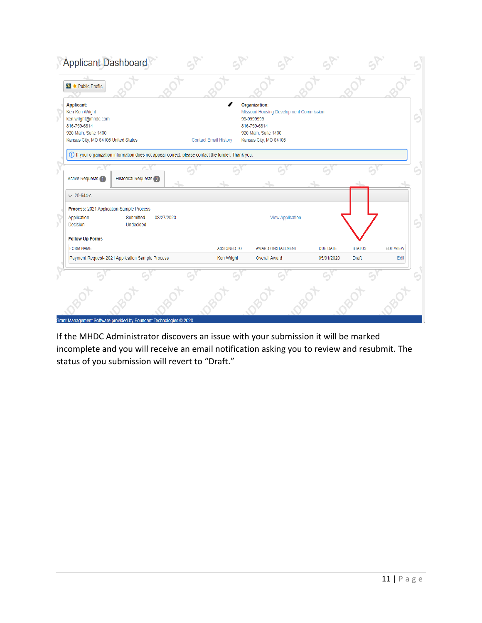| <b>Applicant Dashboard</b>                                                                                                                |                                   |                                                                                                                                         |                 |               |                  |
|-------------------------------------------------------------------------------------------------------------------------------------------|-----------------------------------|-----------------------------------------------------------------------------------------------------------------------------------------|-----------------|---------------|------------------|
| <b>XX</b> Public Profile                                                                                                                  |                                   |                                                                                                                                         |                 |               |                  |
| <b>Applicant:</b><br>Ken Ken Wright<br>ken.wright@mhdc.com<br>816-759-6614<br>920 Main, Suite 1400<br>Kansas City, MO 64105 United States | Í<br><b>Contact Email History</b> | Organization:<br>Missouri Housing Development Commission<br>99-9999999<br>816-759-6614<br>920 Main, Suite 1400<br>Kansas City, MO 64105 |                 |               | G                |
| (i) If your organization information does not appear correct, please contact the funder. Thank you.                                       |                                   |                                                                                                                                         |                 |               |                  |
| <b>Historical Requests 0</b><br><b>Active Requests</b> 1                                                                                  |                                   |                                                                                                                                         |                 |               |                  |
| $\times$ 20-644-c                                                                                                                         |                                   |                                                                                                                                         |                 |               |                  |
| Process: 2021 Application Sample Process                                                                                                  |                                   |                                                                                                                                         |                 |               |                  |
| 03/27/2020<br>Application<br>Submitted<br>Undecided<br>Decision                                                                           |                                   | <b>View Application</b>                                                                                                                 |                 |               |                  |
| <b>Follow Up Forms</b>                                                                                                                    |                                   |                                                                                                                                         |                 |               |                  |
| <b>FORM NAME</b>                                                                                                                          | <b>ASSIGNED TO</b>                | AWARD / INSTALLMENT                                                                                                                     | <b>DUE DATE</b> | <b>STATUS</b> | <b>EDIT/VIEW</b> |
| Payment Request- 2021 Application Sample Process                                                                                          | Ken Wright                        | <b>Overall Award</b>                                                                                                                    | 05/01/2020      | <b>Draft</b>  | Edit             |
|                                                                                                                                           |                                   |                                                                                                                                         |                 |               |                  |
|                                                                                                                                           |                                   |                                                                                                                                         |                 |               |                  |

If the MHDC Administrator discovers an issue with your submission it will be marked incomplete and you will receive an email notification asking you to review and resubmit. The status of you submission will revert to "Draft."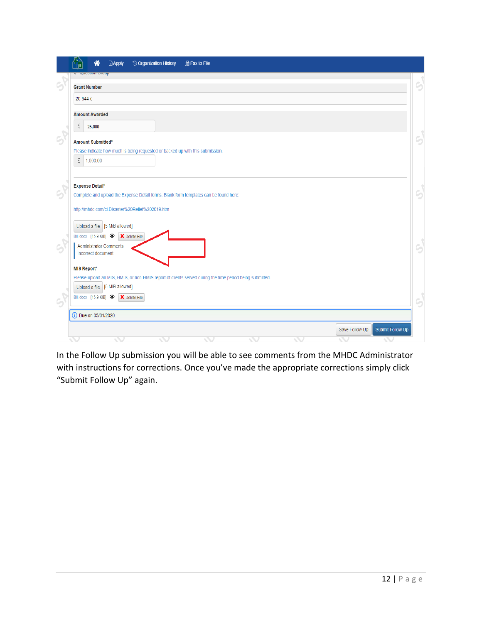|   | ≪<br><b>临Fax to File</b><br><b>Apply</b><br><sup>'</sup> O Organization History                                                           |   |
|---|-------------------------------------------------------------------------------------------------------------------------------------------|---|
|   | <b>GUCSHOT GTOUP</b><br><b>Grant Number</b>                                                                                               | 5 |
|   | 20-644-с                                                                                                                                  |   |
|   | <b>Amount Awarded</b>                                                                                                                     |   |
|   | \$<br>25,000                                                                                                                              |   |
| G | Amount Submitted*<br>Please indicate how much is being requested or backed up with this submission.                                       | 9 |
|   | \$1,000.00                                                                                                                                |   |
| G | <b>Expense Detail*</b>                                                                                                                    | G |
|   | Complete and upload the Expense Detail forms. Blank form templates can be found here:<br>http://mhdc.com/ci.Disaster%20Relief%202019.htm  |   |
|   | Upload a file [5 MiB allowed]                                                                                                             |   |
|   | Bill.docx [15.9 KiB] <sup>1</sup> X Delete File<br><b>Administrator Comments</b><br>Incorrect document                                    | S |
|   | <b>MIS Report*</b>                                                                                                                        |   |
|   | Please upload an MIS, HMIS, or non-HMIS report of clients served during the time period being submitted.<br>Upload a file [5 MiB allowed] |   |
| G | Bill.docx [15.9 KiB] <sup>1</sup> Selete File                                                                                             | G |
|   | (i) Due on 05/01/2020.                                                                                                                    |   |
|   | Submit Follow Up<br>Save Follow Up                                                                                                        |   |

In the Follow Up submission you will be able to see comments from the MHDC Administrator with instructions for corrections. Once you've made the appropriate corrections simply click "Submit Follow Up" again.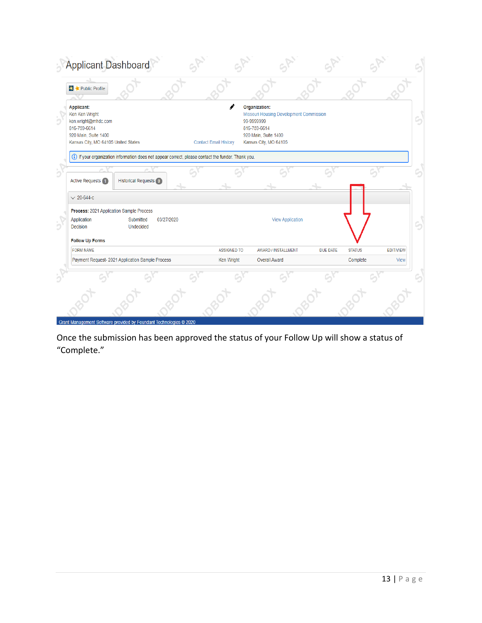| <b>Applicant Dashboard</b>                                                                                                         |                              |                    |                                                                                                                                         |                 |               |                  |   |
|------------------------------------------------------------------------------------------------------------------------------------|------------------------------|--------------------|-----------------------------------------------------------------------------------------------------------------------------------------|-----------------|---------------|------------------|---|
| <b>X</b> Public Profile                                                                                                            |                              |                    |                                                                                                                                         |                 |               |                  |   |
| Applicant:<br>Ken Ken Wright<br>ken.wright@mhdc.com<br>816-759-6614<br>920 Main, Suite 1400<br>Kansas City, MO 64105 United States | <b>Contact Email History</b> | I                  | Organization:<br>Missouri Housing Development Commission<br>99-9999999<br>816-759-6614<br>920 Main, Suite 1400<br>Kansas City, MO 64105 |                 |               |                  | 9 |
| (i) If your organization information does not appear correct, please contact the funder. Thank you.                                |                              |                    |                                                                                                                                         |                 |               |                  |   |
| <b>Active Requests 1</b><br><b>Historical Requests 0</b>                                                                           |                              |                    |                                                                                                                                         |                 |               |                  |   |
| $\times$ 20-644-c                                                                                                                  |                              |                    |                                                                                                                                         |                 |               |                  |   |
| Process: 2021 Application Sample Process                                                                                           |                              |                    |                                                                                                                                         |                 |               |                  |   |
| Application<br>Submitted<br>03/27/2020<br>Decision<br>Undecided                                                                    |                              |                    | <b>View Application</b>                                                                                                                 |                 |               |                  |   |
| <b>Follow Up Forms</b><br><b>FORM NAME</b>                                                                                         |                              | <b>ASSIGNED TO</b> | AWARD / INSTALLMENT                                                                                                                     | <b>DUE DATE</b> | <b>STATUS</b> | <b>EDIT/VIEW</b> |   |
| Payment Request- 2021 Application Sample Process                                                                                   |                              | Ken Wright         | <b>Overall Award</b>                                                                                                                    |                 | Complete      | View             |   |
|                                                                                                                                    |                              |                    |                                                                                                                                         |                 |               |                  |   |
| Grant Management Software provided by Foundant Technologies © 2020                                                                 |                              |                    |                                                                                                                                         |                 |               |                  |   |

Once the submission has been approved the status of your Follow Up will show a status of "Complete."